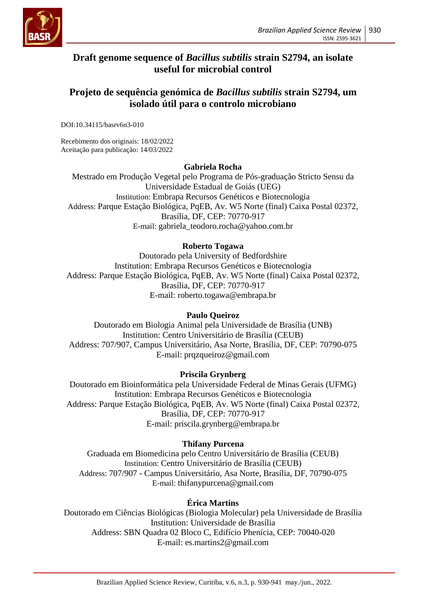

# **Draft genome sequence of** *Bacillus subtilis* **strain S2794, an isolate useful for microbial control**

# **Projeto de sequência genómica de** *Bacillus subtilis* **strain S2794, um isolado útil para o controlo microbiano**

DOI:10.34115/basrv6n3-010

Recebimento dos originais: 18/02/2022 Aceitação para publicação: 14/03/2022

## **Gabriela Rocha**

Mestrado em Produção Vegetal pelo Programa de Pós-graduação Stricto Sensu da Universidade Estadual de Goiás (UEG) Institution: Embrapa Recursos Genéticos e Biotecnologia Address: Parque Estação Biológica, PqEB, Av. W5 Norte (final) Caixa Postal 02372, Brasília, DF, CEP: 70770-917 E-mail: gabriela\_teodoro.rocha@yahoo.com.br

## **Roberto Togawa**

Doutorado pela University of Bedfordshire Institution: Embrapa Recursos Genéticos e Biotecnologia Address: Parque Estação Biológica, PqEB, Av. W5 Norte (final) Caixa Postal 02372, Brasília, DF, CEP: 70770-917 E-mail: roberto.togawa@embrapa.br

# **Paulo Queiroz**

Doutorado em Biologia Animal pela Universidade de Brasília (UNB) Institution: Centro Universitário de Brasília (CEUB) Address: 707/907, Campus Universitário, Asa Norte, Brasília, DF, CEP: 70790-075 E-mail: prqzqueiroz@gmail.com

# **Priscila Grynberg**

Doutorado em Bioinformática pela Universidade Federal de Minas Gerais (UFMG) Institution: Embrapa Recursos Genéticos e Biotecnologia Address: Parque Estação Biológica, PqEB, Av. W5 Norte (final) Caixa Postal 02372, Brasília, DF, CEP: 70770-917 E-mail: priscila.grynberg@embrapa.br

# **Thifany Purcena**

Graduada em Biomedicina pelo Centro Universitário de Brasília (CEUB) Institution: Centro Universitário de Brasília (CEUB) Address: 707/907 - Campus Universitário, Asa Norte, Brasília, DF, 70790-075 E-mail: thifanypurcena@gmail.com

### **Érica Martins**

Doutorado em Ciências Biológicas (Biologia Molecular) pela Universidade de Brasília Institution: Universidade de Brasília Address: SBN Quadra 02 Bloco C, Edifício Phenícia, CEP: 70040-020 E-mail: es.martins2@gmail.com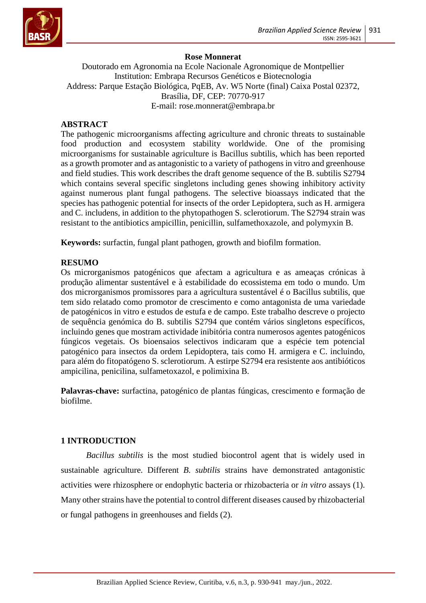

## **Rose Monnerat**

Doutorado em Agronomia na Ecole Nacionale Agronomique de Montpellier Institution: Embrapa Recursos Genéticos e Biotecnologia Address: Parque Estação Biológica, PqEB, Av. W5 Norte (final) Caixa Postal 02372, Brasília, DF, CEP: 70770-917 E-mail: rose.monnerat@embrapa.br

### **ABSTRACT**

The pathogenic microorganisms affecting agriculture and chronic threats to sustainable food production and ecosystem stability worldwide. One of the promising microorganisms for sustainable agriculture is Bacillus subtilis, which has been reported as a growth promoter and as antagonistic to a variety of pathogens in vitro and greenhouse and field studies. This work describes the draft genome sequence of the B. subtilis S2794 which contains several specific singletons including genes showing inhibitory activity against numerous plant fungal pathogens. The selective bioassays indicated that the species has pathogenic potential for insects of the order Lepidoptera, such as H. armigera and C. includens, in addition to the phytopathogen S. sclerotiorum. The S2794 strain was resistant to the antibiotics ampicillin, penicillin, sulfamethoxazole, and polymyxin B.

**Keywords:** surfactin, fungal plant pathogen, growth and biofilm formation.

### **RESUMO**

Os microrganismos patogénicos que afectam a agricultura e as ameaças crónicas à produção alimentar sustentável e à estabilidade do ecossistema em todo o mundo. Um dos microrganismos promissores para a agricultura sustentável é o Bacillus subtilis, que tem sido relatado como promotor de crescimento e como antagonista de uma variedade de patogénicos in vitro e estudos de estufa e de campo. Este trabalho descreve o projecto de sequência genómica do B. subtilis S2794 que contém vários singletons específicos, incluindo genes que mostram actividade inibitória contra numerosos agentes patogénicos fúngicos vegetais. Os bioensaios selectivos indicaram que a espécie tem potencial patogénico para insectos da ordem Lepidoptera, tais como H. armigera e C. incluindo, para além do fitopatógeno S. sclerotiorum. A estirpe S2794 era resistente aos antibióticos ampicilina, penicilina, sulfametoxazol, e polimixina B.

**Palavras-chave:** surfactina, patogénico de plantas fúngicas, crescimento e formação de biofilme.

### **1 INTRODUCTION**

*Bacillus subtilis* is the most studied biocontrol agent that is widely used in sustainable agriculture. Different *B. subtilis* strains have demonstrated antagonistic activities were rhizosphere or endophytic bacteria or rhizobacteria or *in vitro* assays (1). Many other strains have the potential to control different diseases caused by rhizobacterial or fungal pathogens in greenhouses and fields (2).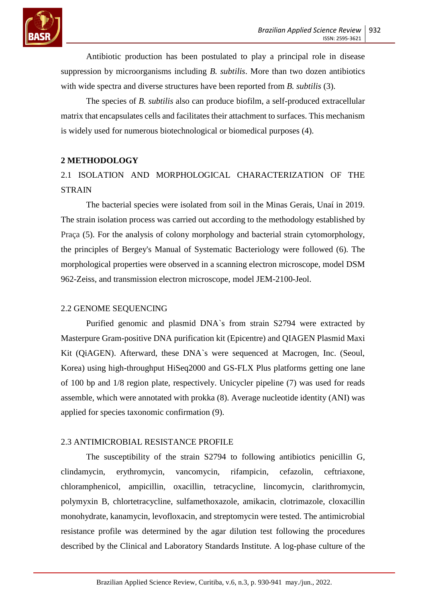

Antibiotic production has been postulated to play a principal role in disease suppression by microorganisms including *B. subtilis*. More than two dozen antibiotics with wide spectra and diverse structures have been reported from *B. subtilis* (3).

The species of *B. subtilis* also can produce biofilm, a self-produced extracellular matrix that encapsulates cells and facilitates their attachment to surfaces. This mechanism is widely used for numerous biotechnological or biomedical purposes (4).

## **2 METHODOLOGY**

# 2.1 ISOLATION AND MORPHOLOGICAL CHARACTERIZATION OF THE **STRAIN**

The bacterial species were isolated from soil in the Minas Gerais, Unaí in 2019. The strain isolation process was carried out according to the methodology established by Praça (5). For the analysis of colony morphology and bacterial strain cytomorphology, the principles of Bergey's Manual of Systematic Bacteriology were followed (6). The morphological properties were observed in a scanning electron microscope, model DSM 962-Zeiss, and transmission electron microscope, model JEM-2100-Jeol.

# 2.2 GENOME SEQUENCING

Purified genomic and plasmid DNA`s from strain S2794 were extracted by Masterpure Gram-positive DNA purification kit (Epicentre) and QIAGEN Plasmid Maxi Kit (QiAGEN). Afterward, these DNA`s were sequenced at Macrogen, Inc. (Seoul, Korea) using high-throughput HiSeq2000 and GS-FLX Plus platforms getting one lane of 100 bp and 1/8 region plate, respectively. Unicycler pipeline (7) was used for reads assemble, which were annotated with prokka (8). Average nucleotide identity (ANI) was applied for species taxonomic confirmation (9).

# 2.3 ANTIMICROBIAL RESISTANCE PROFILE

The susceptibility of the strain S2794 to following antibiotics penicillin G, clindamycin, erythromycin, vancomycin, rifampicin, cefazolin, ceftriaxone, chloramphenicol, ampicillin, oxacillin, tetracycline, lincomycin, clarithromycin, polymyxin B, chlortetracycline, sulfamethoxazole, amikacin, clotrimazole, cloxacillin monohydrate, kanamycin, levofloxacin, and streptomycin were tested. The antimicrobial resistance profile was determined by the agar dilution test following the procedures described by the Clinical and Laboratory Standards Institute. A log-phase culture of the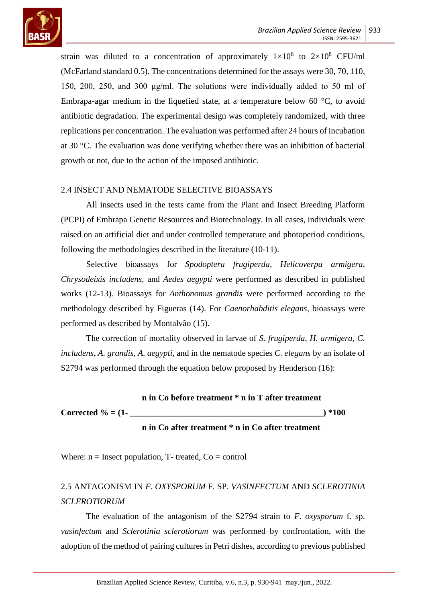

strain was diluted to a concentration of approximately  $1 \times 10^8$  to  $2 \times 10^8$  CFU/ml (McFarland standard 0.5). The concentrations determined for the assays were 30, 70, 110, 150, 200, 250, and 300 μg/ml. The solutions were individually added to 50 ml of Embrapa-agar medium in the liquefied state, at a temperature below 60  $\degree$ C, to avoid antibiotic degradation. The experimental design was completely randomized, with three replications per concentration. The evaluation was performed after 24 hours of incubation at 30 °C. The evaluation was done verifying whether there was an inhibition of bacterial growth or not, due to the action of the imposed antibiotic.

## 2.4 INSECT AND NEMATODE SELECTIVE BIOASSAYS

All insects used in the tests came from the Plant and Insect Breeding Platform (PCPI) of Embrapa Genetic Resources and Biotechnology. In all cases, individuals were raised on an artificial diet and under controlled temperature and photoperiod conditions, following the methodologies described in the literature (10-11).

Selective bioassays for *Spodoptera frugiperda*, *Helicoverpa armigera*, *Chrysodeixis includens*, and *Aedes aegypti* were performed as described in published works (12-13). Bioassays for *Anthonomus grandis* were performed according to the methodology described by Figueras (14). For *Caenorhabditis elegans*, bioassays were performed as described by Montalvão (15).

The correction of mortality observed in larvae of *S. frugiperda*, *H. armigera*, *C. includens*, *A. grandis*, *A. aegypti*, and in the nematode species *C. elegans* by an isolate of S2794 was performed through the equation below proposed by Henderson (16):

|                       | n in Co before treatment * n in T after treatment |         |
|-----------------------|---------------------------------------------------|---------|
| Corrected $\% = (1 -$ |                                                   | 1*100 ( |
|                       | n in Co after treatment * n in Co after treatment |         |

Where:  $n =$  Insect population, T- treated,  $Co =$  control

# 2.5 ANTAGONISM IN *F. OXYSPORUM* F. SP. *VASINFECTUM* AND *SCLEROTINIA SCLEROTIORUM*

The evaluation of the antagonism of the S2794 strain to *F. oxysporum* f. sp. *vasinfectum* and *Sclerotinia sclerotiorum* was performed by confrontation, with the adoption of the method of pairing cultures in Petri dishes, according to previous published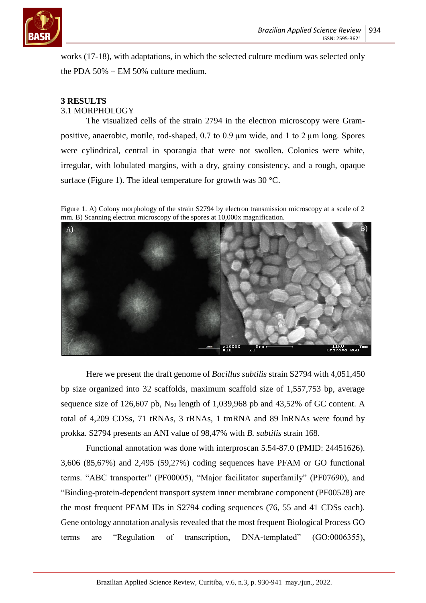

works (17-18), with adaptations, in which the selected culture medium was selected only the PDA  $50\%$  + EM 50% culture medium.

#### **3 RESULTS** 3.1 MORPHOLOGY

The visualized cells of the strain 2794 in the electron microscopy were Grampositive, anaerobic, motile, rod-shaped, 0.7 to 0.9 µm wide, and 1 to 2 µm long. Spores were cylindrical, central in sporangia that were not swollen. Colonies were white, irregular, with lobulated margins, with a dry, grainy consistency, and a rough, opaque surface (Figure 1). The ideal temperature for growth was  $30^{\circ}$ C.

Figure 1. A) Colony morphology of the strain S2794 by electron transmission microscopy at a scale of 2 mm. B) Scanning electron microscopy of the spores at 10,000x magnification.



Here we present the draft genome of *Bacillus subtilis* strain S2794 with 4,051,450 bp size organized into 32 scaffolds, maximum scaffold size of 1,557,753 bp, average sequence size of 126,607 pb,  $N_{50}$  length of 1,039,968 pb and 43,52% of GC content. A total of 4,209 CDSs, 71 tRNAs, 3 rRNAs, 1 tmRNA and 89 lnRNAs were found by prokka. S2794 presents an ANI value of 98,47% with *B. subtilis* strain 168.

Functional annotation was done with interproscan 5.54-87.0 (PMID: 24451626). 3,606 (85,67%) and 2,495 (59,27%) coding sequences have PFAM or GO functional terms. "ABC transporter" (PF00005), "Major facilitator superfamily" (PF07690), and "Binding-protein-dependent transport system inner membrane component (PF00528) are the most frequent PFAM IDs in S2794 coding sequences (76, 55 and 41 CDSs each). Gene ontology annotation analysis revealed that the most frequent Biological Process GO terms are "Regulation of transcription, DNA-templated" (GO:0006355),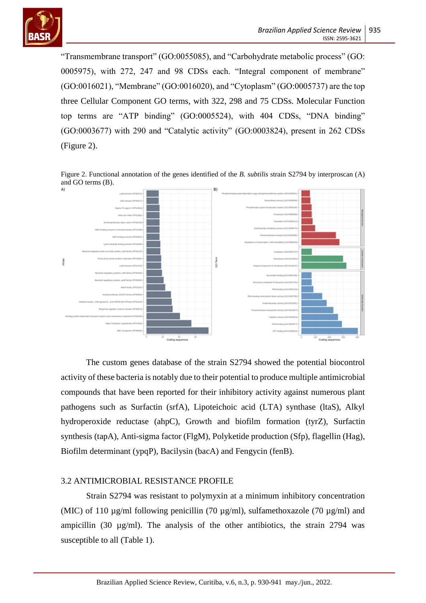

"Transmembrane transport" (GO:0055085), and "Carbohydrate metabolic process" (GO: 0005975), with 272, 247 and 98 CDSs each. "Integral component of membrane" (GO:0016021), "Membrane" (GO:0016020), and "Cytoplasm" (GO:0005737) are the top three Cellular Component GO terms, with 322, 298 and 75 CDSs. Molecular Function top terms are "ATP binding" (GO:0005524), with 404 CDSs, "DNA binding" (GO:0003677) with 290 and "Catalytic activity" (GO:0003824), present in 262 CDSs (Figure 2).

Figure 2. Functional annotation of the genes identified of the *B. subtilis* strain S2794 by interproscan (A) and GO terms (B).



The custom genes database of the strain S2794 showed the potential biocontrol activity of these bacteria is notably due to their potential to produce multiple antimicrobial compounds that have been reported for their inhibitory activity against numerous plant pathogens such as Surfactin (srfA), Lipoteichoic acid (LTA) synthase (ltaS), Alkyl hydroperoxide reductase (ahpC), Growth and biofilm formation (tyrZ), Surfactin synthesis (tapA), Anti-sigma factor (FlgM), Polyketide production (Sfp), flagellin (Hag), Biofilm determinant (ypqP), Bacilysin (bacA) and Fengycin (fenB).

### 3.2 ANTIMICROBIAL RESISTANCE PROFILE

Strain S2794 was resistant to polymyxin at a minimum inhibitory concentration (MIC) of 110  $\mu$ g/ml following penicillin (70  $\mu$ g/ml), sulfamethoxazole (70  $\mu$ g/ml) and ampicillin (30 µg/ml). The analysis of the other antibiotics, the strain 2794 was susceptible to all (Table 1).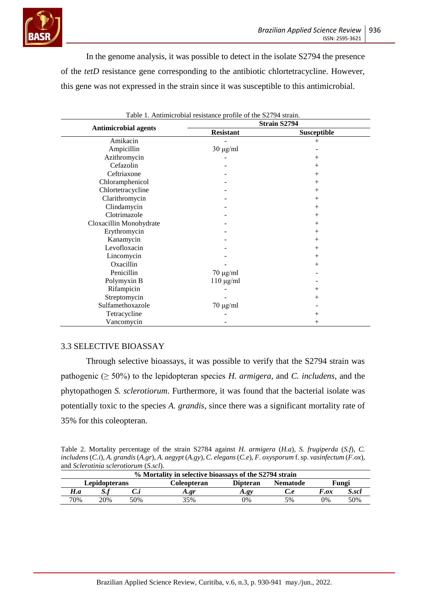

In the genome analysis, it was possible to detect in the isolate S2794 the presence of the *tetD* resistance gene corresponding to the antibiotic chlortetracycline. However, this gene was not expressed in the strain since it was susceptible to this antimicrobial.

|                             | Strain S2794     |             |  |  |
|-----------------------------|------------------|-------------|--|--|
| <b>Antimicrobial agents</b> | <b>Resistant</b> | Susceptible |  |  |
| Amikacin                    |                  | $+$         |  |  |
| Ampicillin                  | $30 \mu g/ml$    |             |  |  |
| Azithromycin                |                  |             |  |  |
| Cefazolin                   |                  |             |  |  |
| Ceftriaxone                 |                  |             |  |  |
| Chloramphenicol             |                  |             |  |  |
| Chlortetracycline           |                  |             |  |  |
| Clarithromycin              |                  |             |  |  |
| Clindamycin                 |                  |             |  |  |
| Clotrimazole                |                  |             |  |  |
| Cloxacillin Monohydrate     |                  |             |  |  |
| Erythromycin                |                  |             |  |  |
| Kanamycin                   |                  |             |  |  |
| Levofloxacin                |                  |             |  |  |
| Lincomycin                  |                  | $^+$        |  |  |
| Oxacillin                   |                  | $^+$        |  |  |
| Penicillin                  | $70 \mu g/ml$    |             |  |  |
| Polymyxin B                 | $110 \mu g/ml$   |             |  |  |
| Rifampicin                  |                  |             |  |  |
| Streptomycin                |                  |             |  |  |
| Sulfamethoxazole            | $70 \mu g/ml$    |             |  |  |
| Tetracycline                |                  |             |  |  |
| Vancomycin                  |                  |             |  |  |

Table 1. Antimicrobial resistance profile of the S2794 strain.

### 3.3 SELECTIVE BIOASSAY

Through selective bioassays, it was possible to verify that the S2794 strain was pathogenic ( $\geq 50\%$ ) to the lepidopteran species *H. armigera*, and *C. includens*, and the phytopathogen *S. sclerotiorum*. Furthermore, it was found that the bacterial isolate was potentially toxic to the species *A. grandis*, since there was a significant mortality rate of 35% for this coleopteran.

Table 2. Mortality percentage of the strain S2784 against *H. armigera* (*H.a*), *S. frugiperda* (*S.f*), *C. includens* (*C.i*), *A. grandis* (*A.gr*), *A. aegypt* (*A.gy*), *C. elegans*(*C.e*), *F. oxysporum* f. sp. *vasinfectum* (*F.ox*), and *Sclerotinia sclerotiorum* (*S.scl*).

| % Mortality in selective bioassays of the S2794 strain |     |             |                 |                 |                  |            |       |  |  |  |
|--------------------------------------------------------|-----|-------------|-----------------|-----------------|------------------|------------|-------|--|--|--|
| Lepidopterans                                          |     | Coleopteran | <b>Dipteran</b> | <b>Nematode</b> | Fungi            |            |       |  |  |  |
| H.a                                                    | ມ.  | v.i         | A.gr            | A.gy            | $\mathcal{C}$ .e | F.ox       | S.scl |  |  |  |
| 70%                                                    | 20% | 50%         | 35%             | $\gamma\%$      | 5%               | $\gamma\%$ | 50%   |  |  |  |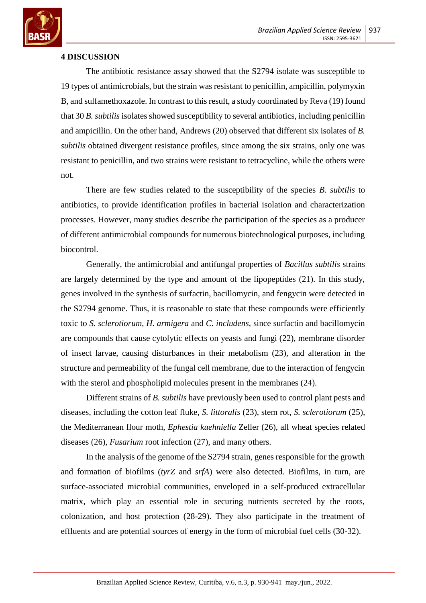

### **4 DISCUSSION**

The antibiotic resistance assay showed that the S2794 isolate was susceptible to 19 types of antimicrobials, but the strain was resistant to penicillin, ampicillin, polymyxin B, and sulfamethoxazole. In contrast to this result, a study coordinated by Reva (19) found that 30 *B. subtilis* isolates showed susceptibility to several antibiotics, including penicillin and ampicillin. On the other hand, Andrews (20) observed that different six isolates of *B. subtilis* obtained divergent resistance profiles, since among the six strains, only one was resistant to penicillin, and two strains were resistant to tetracycline, while the others were not.

There are few studies related to the susceptibility of the species *B. subtilis* to antibiotics, to provide identification profiles in bacterial isolation and characterization processes. However, many studies describe the participation of the species as a producer of different antimicrobial compounds for numerous biotechnological purposes, including biocontrol.

Generally, the antimicrobial and antifungal properties of *Bacillus subtilis* strains are largely determined by the type and amount of the lipopeptides (21). In this study, genes involved in the synthesis of surfactin, bacillomycin, and fengycin were detected in the S2794 genome. Thus, it is reasonable to state that these compounds were efficiently toxic to *S. sclerotiorum*, *H. armigera* and *C. includens*, since surfactin and bacillomycin are compounds that cause cytolytic effects on yeasts and fungi (22), membrane disorder of insect larvae, causing disturbances in their metabolism (23), and alteration in the structure and permeability of the fungal cell membrane, due to the interaction of fengycin with the sterol and phospholipid molecules present in the membranes  $(24)$ .

Different strains of *B. subtilis* have previously been used to control plant pests and diseases, including the cotton leaf fluke, *S. littoralis* (23), stem rot, *S. sclerotiorum* (25), the Mediterranean flour moth, *Ephestia kuehniella* Zeller (26), all wheat species related diseases (26), *Fusarium* root infection (27), and many others.

In the analysis of the genome of the S2794 strain, genes responsible for the growth and formation of biofilms (*tyrZ* and *srfA*) were also detected. Biofilms, in turn, are surface-associated microbial communities, enveloped in a self-produced extracellular matrix, which play an essential role in securing nutrients secreted by the roots, colonization, and host protection (28-29). They also participate in the treatment of effluents and are potential sources of energy in the form of microbial fuel cells (30-32).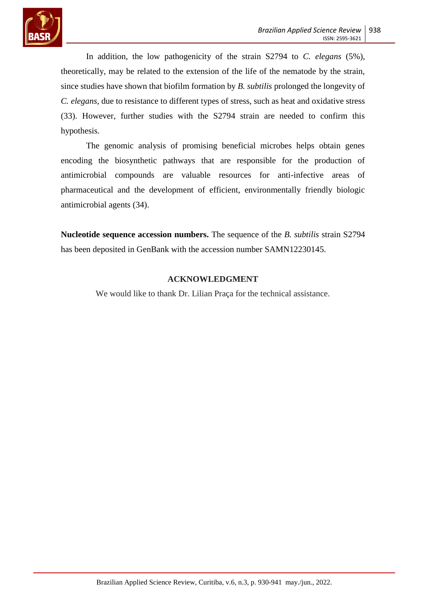

In addition, the low pathogenicity of the strain S2794 to *C. elegans* (5%), theoretically, may be related to the extension of the life of the nematode by the strain, since studies have shown that biofilm formation by *B. subtilis* prolonged the longevity of *C. elegans*, due to resistance to different types of stress, such as heat and oxidative stress (33). However, further studies with the S2794 strain are needed to confirm this hypothesis.

The genomic analysis of promising beneficial microbes helps obtain genes encoding the biosynthetic pathways that are responsible for the production of antimicrobial compounds are valuable resources for anti-infective areas of pharmaceutical and the development of efficient, environmentally friendly biologic antimicrobial agents (34).

**Nucleotide sequence accession numbers.** The sequence of the *B. subtilis* strain S2794 has been deposited in GenBank with the accession number SAMN12230145.

## **ACKNOWLEDGMENT**

We would like to thank Dr. Lilian Praça for the technical assistance.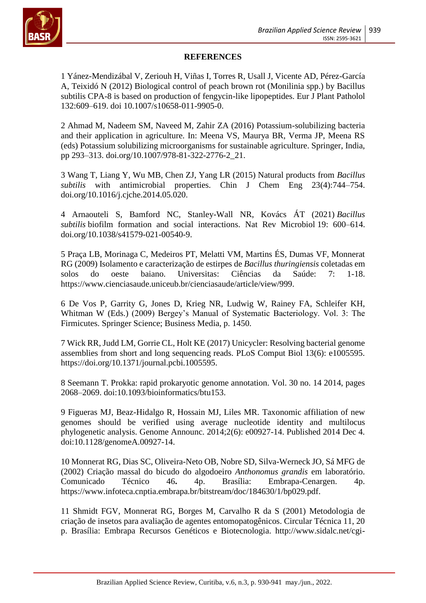

## **REFERENCES**

1 Yánez-Mendizábal V, Zeriouh H, Viñas I, Torres R, Usall J, Vicente AD, Pérez-García A, Teixidó N (2012) Biological control of peach brown rot (Monilinia spp.) by Bacillus subtilis CPA-8 is based on production of fengycin-like lipopeptides. Eur J Plant Patholol 132:609–619. doi 10.1007/s10658-011-9905-0.

2 Ahmad M, Nadeem SM, Naveed M, Zahir ZA (2016) Potassium-solubilizing bacteria and their application in agriculture. In: Meena VS, Maurya BR, Verma JP, Meena RS (eds) Potassium solubilizing microorganisms for sustainable agriculture. Springer, India, pp 293–313. doi.org/10.1007/978-81-322-2776-2\_21.

3 Wang T, Liang Y, Wu MB, Chen ZJ, Yang LR (2015) Natural products from *Bacillus subtilis* with antimicrobial properties. Chin J Chem Eng 23(4):744–754. doi.org/10.1016/j.cjche.2014.05.020.

4 Arnaouteli S, Bamford NC, Stanley-Wall NR, Kovács ÁT (2021) *Bacillus subtilis* biofilm formation and social interactions. Nat Rev Microbiol 19: 600–614. doi.org/10.1038/s41579-021-00540-9.

5 Praça LB, Morinaga C, Medeiros PT, Melatti VM, Martins ÉS, Dumas VF, Monnerat RG (2009) Isolamento e caracterização de estirpes de *Bacillus thuringiensis* coletadas em solos do oeste baiano. Universitas: Ciências da Saúde: 7: 1-18. https://www.cienciasaude.uniceub.br/cienciasaude/article/view/999.

6 De Vos P, Garrity G, Jones D, Krieg NR, Ludwig W, Rainey FA, Schleifer KH, Whitman W (Eds.) (2009) Bergey's Manual of Systematic Bacteriology. Vol. 3: The Firmicutes. Springer Science; Business Media, p. 1450.

7 Wick RR, Judd LM, Gorrie CL, Holt KE (2017) Unicycler: Resolving bacterial genome assemblies from short and long sequencing reads. PLoS Comput Biol 13(6): e1005595. https://doi.org/10.1371/journal.pcbi.1005595.

8 Seemann T. Prokka: rapid prokaryotic genome annotation. Vol. 30 no. 14 2014, pages 2068–2069. doi:10.1093/bioinformatics/btu153.

9 Figueras MJ, Beaz-Hidalgo R, Hossain MJ, Liles MR. Taxonomic affiliation of new genomes should be verified using average nucleotide identity and multilocus phylogenetic analysis. Genome Announc. 2014;2(6): e00927-14. Published 2014 Dec 4. doi:10.1128/genomeA.00927-14.

10 Monnerat RG, Dias SC, Oliveira-Neto OB, Nobre SD, Silva-Werneck JO, Sá MFG de (2002) Criação massal do bicudo do algodoeiro *Anthonomus grandis* em laboratório. Comunicado Técnico 46**.** 4p. Brasília: Embrapa-Cenargen. 4p. https://www.infoteca.cnptia.embrapa.br/bitstream/doc/184630/1/bp029.pdf.

11 Shmidt FGV, Monnerat RG, Borges M, Carvalho R da S (2001) Metodologia de criação de insetos para avaliação de agentes entomopatogênicos. Circular Técnica 11, 20 p. Brasília: Embrapa Recursos Genéticos e Biotecnologia. http://www.sidalc.net/cgi-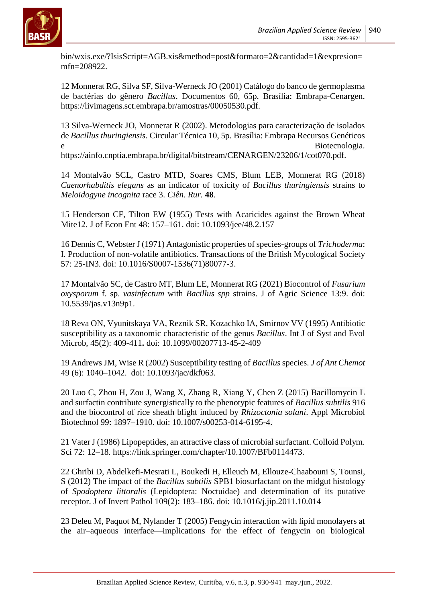

bin/wxis.exe/?IsisScript=AGB.xis&method=post&formato=2&cantidad=1&expresion= mfn=208922.

12 Monnerat RG, Silva SF, Silva-Werneck JO (2001) Catálogo do banco de germoplasma de bactérias do gênero *Bacillus*. Documentos 60, 65p. Brasília: Embrapa-Cenargen. https://livimagens.sct.embrapa.br/amostras/00050530.pdf.

13 Silva-Werneck JO, Monnerat R (2002). Metodologias para caracterização de isolados de *Bacillus thuringiensis*. Circular Técnica 10, 5p. Brasília: Embrapa Recursos Genéticos e Biotecnologia.

https://ainfo.cnptia.embrapa.br/digital/bitstream/CENARGEN/23206/1/cot070.pdf.

14 Montalvão SCL, Castro MTD, Soares CMS, Blum LEB, Monnerat RG (2018) *Caenorhabditis elegans* as an indicator of toxicity of *Bacillus thuringiensis* strains to *Meloidogyne incognita* race 3. *Ciên. Rur.* **48**.

15 Henderson CF, Tilton EW (1955) Tests with Acaricides against the Brown Wheat Mite12. J of Econ Ent 48: 157–161. doi: 10.1093/jee/48.2.157

16 Dennis C, Webster J (1971) Antagonistic properties of species-groups of *Trichoderma*: I. Production of non-volatile antibiotics. Transactions of the British Mycological Society 57: 25-IN3. doi: 10.1016/S0007-1536(71)80077-3.

17 Montalvão SC, de Castro MT, Blum LE, Monnerat RG (2021) Biocontrol of *Fusarium oxysporum* f. sp. *vasinfectum* with *Bacillus spp* strains. J of Agric Science 13:9. doi: 10.5539/jas.v13n9p1.

18 Reva ON, Vyunitskaya VA, Reznik SR, Kozachko IA, Smirnov VV (1995) Antibiotic susceptibility as a taxonomic characteristic of the genus *Bacillus*. Int J of Syst and Evol Microb, 45(2): 409-411**.** doi: 10.1099/00207713-45-2-409

19 Andrews JM, Wise R (2002) Susceptibility testing of *Bacillus* species. *J of Ant Chemot* 49 (6): 1040–1042. doi: 10.1093/jac/dkf063.

20 Luo C, Zhou H, Zou J, Wang X, Zhang R, Xiang Y, Chen Z (2015) Bacillomycin L and surfactin contribute synergistically to the phenotypic features of *Bacillus subtilis* 916 and the biocontrol of rice sheath blight induced by *Rhizoctonia solani*. Appl Microbiol Biotechnol 99: 1897–1910. doi: 10.1007/s00253-014-6195-4.

21 Vater J (1986) Lipopeptides, an attractive class of microbial surfactant. Colloid Polym. Sci 72: 12–18. https://link.springer.com/chapter/10.1007/BFb0114473.

22 Ghribi D, Abdelkefi-Mesrati L, Boukedi H, Elleuch M, Ellouze-Chaabouni S, Tounsi, S (2012) The impact of the *Bacillus subtilis* SPB1 biosurfactant on the midgut histology of *Spodoptera littoralis* (Lepidoptera: Noctuidae) and determination of its putative receptor. J of Invert Pathol 109(2): 183–186. doi: 10.1016/j.jip.2011.10.014

23 Deleu M, Paquot M, Nylander T (2005) Fengycin interaction with lipid monolayers at the air–aqueous interface—implications for the effect of fengycin on biological